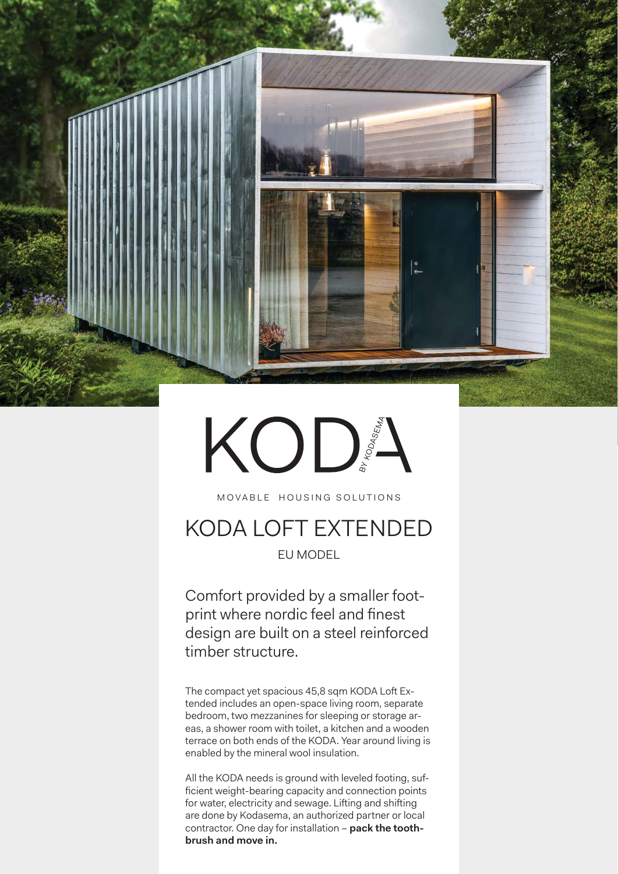

# KODS

MOVABLE HOUSING SOLUTIONS

# KODA LOFT EXTENDED EU MODEL

Comfort provided by a smaller footprint where nordic feel and finest design are built on a steel reinforced timber structure.

The compact yet spacious 45,8 sqm KODA Loft Extended includes an open-space living room, separate bedroom, two mezzanines for sleeping or storage areas, a shower room with toilet, a kitchen and a wooden terrace on both ends of the KODA. Year around living is enabled by the mineral wool insulation.

All the KODA needs is ground with leveled footing, sufficient weight-bearing capacity and connection points for water, electricity and sewage. Lifting and shifting are done by Kodasema, an authorized partner or local contractor. One day for installation – **pack the toothbrush and move in.**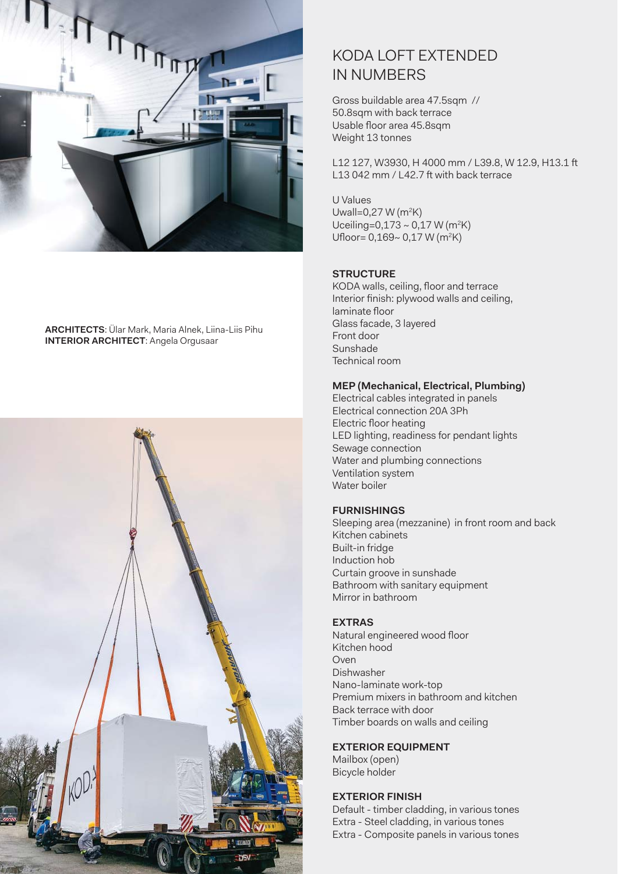

**ARCHITECTS**: Ülar Mark, Maria Alnek, Liina-Liis Pihu **INTERIOR ARCHITECT**: Angela Orgusaar

![](_page_1_Picture_2.jpeg)

## KODA LOFT EXTENDED IN NUMBERS

Gross buildable area 47.5sqm // 50.8sqm with back terrace Usable floor area 45.8sqm Weight 13 tonnes

L12 127, W3930, H 4000 mm / L39.8, W 12.9, H13.1 ft L13 042 mm / L42.7 ft with back terrace

U Values Uwall=0,27 W (m<sup>2</sup>K) Uceiling=0,173 ~ 0,17 W (m<sup>2</sup>K) Ufloor=  $0,169$ ~  $0,17$  W (m<sup>2</sup>K)

#### **STRUCTURE**

KODA walls, ceiling, floor and terrace Interior finish: plywood walls and ceiling, laminate floor Glass facade, 3 layered Front door Sunshade Technical room

#### **MEP (Mechanical, Electrical, Plumbing)**

Electrical cables integrated in panels Electrical connection 20A 3Ph Electric floor heating LED lighting, readiness for pendant lights Sewage connection Water and plumbing connections Ventilation system Water boiler

#### **FURNISHINGS**

Sleeping area (mezzanine) in front room and back Kitchen cabinets Built-in fridge Induction hob Curtain groove in sunshade Bathroom with sanitary equipment Mirror in bathroom

#### **EXTRAS**

Natural engineered wood floor Kitchen hood Oven Dishwasher Nano-laminate work-top Premium mixers in bathroom and kitchen Back terrace with door Timber boards on walls and ceiling

#### **EXTERIOR EQUIPMENT**

Mailbox (open) Bicycle holder

#### **EXTERIOR FINISH**

Default - timber cladding, in various tones Extra - Steel cladding, in various tones Extra - Composite panels in various tones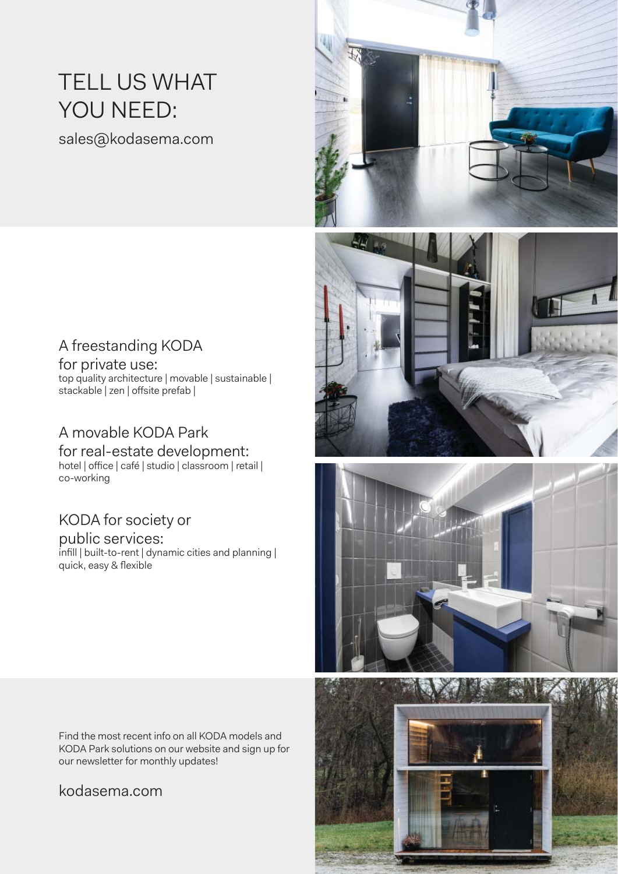# TELL US WHAT YOU NEED:

sales@kodasema.com

# A freestanding KODA

for private use: top quality architecture | movable | sustainable | stackable | zen | offsite prefab |

## A movable KODA Park

for real-estate development: hotel | office | café | studio | classroom | retail | co-working

# KODA for society or

public services:  $\frac{1}{2}$  infill | built-to-rent | dynamic cities and planning | quick, easy & flexible

Find the most recent info on all KODA models and KODA Park solutions on our website and sign up for our newsletter for monthly updates!

### kodasema.com

![](_page_2_Picture_10.jpeg)

![](_page_2_Picture_11.jpeg)

![](_page_2_Picture_12.jpeg)

![](_page_2_Picture_13.jpeg)